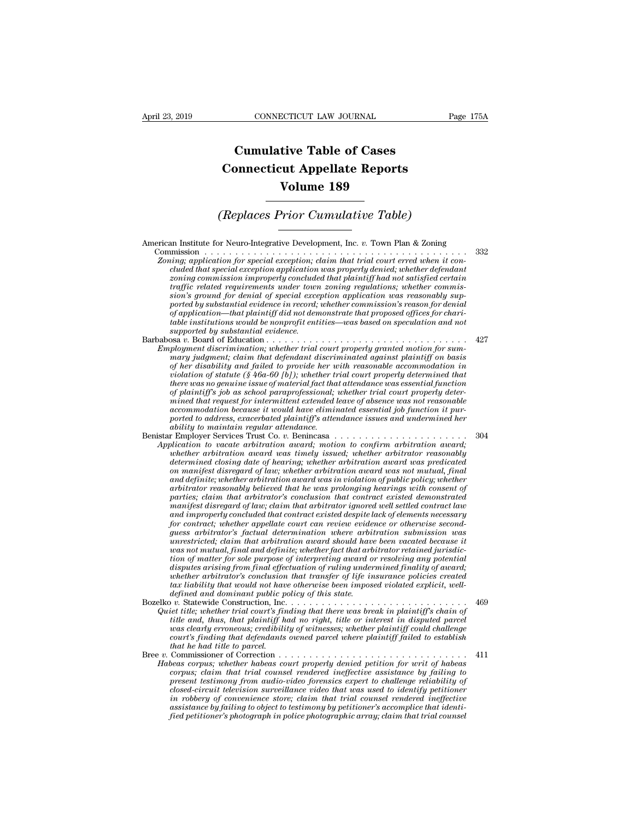## **CONNECTICUT LAW JOURNAL**<br> **Cumulative Table of Cases<br>
pnnecticut Appellate Reports CONNECTICUT LAW JOURNAL** Pag<br> **Cumulative Table of Cases<br>
Connecticut Appellate Reports<br>
Volume 189 ECTICUT LAW JOURNAL**<br> **Volume 189**<br> **Volume 189**<br> **Volume 189**<br> **Prior Cumulative Table) Cumulative Table of Cases<br>
Connecticut Appellate Reports<br>
Volume 189<br>
(Replaces Prior Cumulative Table)**<br>
The Person Plan & Zoning

American Institute for Neuro-Integrative Development, Inc. *v.* Town Plan & Zoning Commission . . . . . . . . . . . . . . . . . . . . . . . . . . . . . . . . . . . . . . . . . . . <sup>332</sup> *Zoning; application for special exception; claim that trial court erred when it con-<br><i>Zoning; application for special exception; claim that trial court erred when it con-*<br>*cluded that special exception application was cluded that special exception application was properly denied; whether defendant* **zoning commission improperly commission**<br>**zoning**<br>**zoning**<br>**zoning**<br>**zoning** capplication for special exception; claim that trial court erred when it concluded that special exception application was properly denied; wheth *traffic related requirements under town zoning regulations; whether commission's ground for denial of special exception application was reasonably supported by substantial evidence in record; whether commission's reason for denial of application for special exception, claim that trial court erred when it controlled that special exception application was properly denied, whether defendant clouded that special exception application was properly denie table institutions for special exception; claim that trial court erred when it concluded that special exception application was properly denied; whether defendant zoning commission inproperly denied that plaintiff had not cluded that special exception application*<br>*zoning commission improperly conclude<br>traffic related requirements under town*<br>*sion's ground for denial of special exception*<br>*ported by substantial evidence in record;*<br>*of ap* From a commission improperty concluded that plantify had not satisfied certain<br>traffic related requirements under town zoning regulations; whether commis-<br>sion's ground for denial of special exception application was reaso *Employment discrimination; and the ferrial of special exception application was reasonably supported by substantial evidence in record; whether commission's reason for denial of application—that plaintiff did not demonstr of application—that plaintiff did not demonstrate that proposed offices for charitable institutions would be nonprofit entities—was based on speculation and not supported by substantial evidence.*<br>supported by substantial

ported by substantial evidence in record; whether commission's reason for denial<br>of application—that plaintiff did not demonstrate that proposed offices for chari-<br>table institutions would be nonprofit entities—was based o *vi* application—that plaintiff did not demonstrate that proposed offices for chariable institutions would be nonprofit entities—was based on speculation and not supported by substantial evidence.<br>
Stap court of the statut *there was no genuine issue of material fact that attendance was essential function supported by substantial evidence.*<br> *playment discrimination; whether trial court properly granted motion for sum-<br>
playment discrimination; whether trial court properly granted motion for sum-<br>
<i>mary judgment; claim tha* <sup>927</sup><br> *moment discrimination, whether trial court properly granted motion for summary judgment; claim that defendant discriminated against plaintiff on basis<br>
of her disability and failed to provide her with reasonable ac* ployment discrimination; whether trad court property granted motion for sum-<br>mary judgment; claim that defendant discriminated against plaintiff on basis<br>of her disability and failed to provide her with reasonable accommod *ported to address, exacerbated to provide her with reasonable accommodation in* violation of statute (§ 46a-60 [b]); whether trial court properly determined that vivelative was no genuine issue of material fact that atten *af her disability and failed to provide her wiolation of statute (§ 46a-60 [b]); whether there was no genuine issue of material fact that of plaintiff's job as school paraprofessional; mined that request for intermittent* volation of statute (§ 46a-60 [6]); whether trial court property determined that<br>there was no genuine issue of material fact that attendance was essential function<br>of plaintiff's job as school paraprofessional; whether tri *Application of plaintiff's job as school paraprofessional; whether trial court properly determined that request for intermittent extended leave of dosence was not reasonable accommodation because it would have eliminated are plannty* is job as school paraprojessional; whether trial court property determined that request for intermittent extended leave of absence was not reasonable accommodation because it would have eliminated essential j

mined that request for intermittent extended leave of absence was not reasonable<br>accommodation because it would have eliminated essential job function it pur-<br>ported to address, exacerbated plaintiff's attendance issues an *accommodation because it would have eliminated essential job junction it purported to address, exacerbated plaintiff's attendance issues and undermined her ability to maintain regular attendance.<br>Are imployer Services Tru and definite; whether arbitration award was in violation of public policy; whether ability to maintain regular attendance.*<br> *arbitration to vacate arbitration award, whether arbitration award,<br>
ilication to vacate arbitration award was timely issued, whether arbitration award,<br>
whether arbitration awar parties; claim to vacate arbitration award; motion to confirm arbitration award; motion to vacate arbitration award, motion to confirm arbitrator reasonably determined closing date of hearing; whether arbitration award wa manifest* disregard of law; motion and distributed contract disregard; whether arbitrator reasonably determined closing date of hearing; whether arbitration award was predicated on manifest disregard of law; whether arbit *and interimient around ward was timely issued; whether arbitration reasonably*<br>*atermined closing date of hearing; whether arbitration award was predicated*<br>*and definite; whether arbitration award was in violation of pub determined closing date of hearing; whether arbitration award was predicated*<br>on manifest disregard of law; whether arbitration award was not mutual, final<br>and definite; whether arbitration award was in violation of publi on manylest disregard of law; whether arbitration award was not mutual, final and definite; whether arbitration award was in violation of public policy; whether arbitrator's casonably believed that he was prolonging hearin and definite; whether arbitration award was in violation of public policy; whether arbitrator reasonably believed that he was prolonging hearings with consent of parties; claim that arbitrator's conclusion that contract ex arbitrator reasonably believed that he was prolonging hearings with consent of<br>parties; claim that arbitrator's conclusion that contract existed demonstrated<br>manifest disregard of law; claim that arbitrator ignored well se parties; claim that arbitrator's conclusion that contract existed demonstrated<br>manifest disregard of law; claim that arbitrator ignored well settled contract law<br>and improperly concluded that contract existed despite lack manylest disregard of law; claim that arbitrator ignored well settled contract law<br>and improperly concluded that contract existed despite lack of elements necessary<br>for contract; whether appellate court can review evidence and improperty concluded that contract existed despite lack of elements necessary<br>for contract; whether appellate court can review evidence or otherwise second-<br>guess arbitrator's factual determination where arbitration su *for contract; whether appellate court can review evidence or otherwise second-<br>guess arbitrator's factual determination where arbitration submission was<br>urestricted; claim that arbitration award should have been vacated b guess arbitrator's jactual determination where arbitraristicted; claim that arbitration award should have as not mutual, final and definitie; whether fact that arbitrary tion of matter for sole purpose of interpreting awa* unrestricted; claim that arbitration award should have been vacated because it<br>was not mutual, final and definite; whether fact that arbitrator retained jurisdic-<br>tion of matter for sole purpose of interpreting award or re *lation of matter for sole purpose of interpreting award or resolving any potential*<br>disputes arising from final effectuation of ruling undermined finality of award;<br>whether arbitrator's conclusion that transfer of life in *tion of matter for sole purpose of interpreting award or resolving any potential*<br>disputes arising from final effectuation of ruling undermined finality of award;<br>whether arbitrator's conclusion that transfer of life insu

*disputes arising from final effectuation of ruling undermined finality of award;*<br>whether arbitrator's conclusion that transfer of life insurance policies created<br>tax liability that would not have otherwise been imposed v *courting that would not have observed* by the insurance policies created that liability that would not have otherwise been imposed violated explicit, well-<br>defined and dominant public policy of this state.<br> $\therefore$  Statewid *tax habitity that would not hav*<br>*defined and dominant public p*<br>*v*. Statewide Construction, Inc.<br>*iet title; whether trial court's finite and, thus, that plaintiff h<br>was clearly erroneous; credibili<br>court's finding that* Bree *v.* Commissioner of Correction . . . . . . . . . . . . . . . . . . . . . . . . . . . . . . . <sup>411</sup> *Habeas corpus; whether habeas court properly denied petition for writ of habeas corpus; whether trial court's finding that there was break in plaintiff s chain of* title and, thus, that plaintiff had no right, title or interest in disputed parcel was clearly erroneous; credibility of witnesses; wheth

*present testimony from audio-video forensics, whether plaintiff could challenge* was clearly erroneous; credibility of witnesses; whether plaintiff could challenge court's finding that defendants owned parcel where plaint *closed-circuit television surveillance video that was used to identify petitioner in robbery of convenience store; claim that trial counsel rendered ineffective assistance by failing to object to testimony by petitioner's accomplice that identified petitioner's photograph in police photographic array; claim that trial counsel*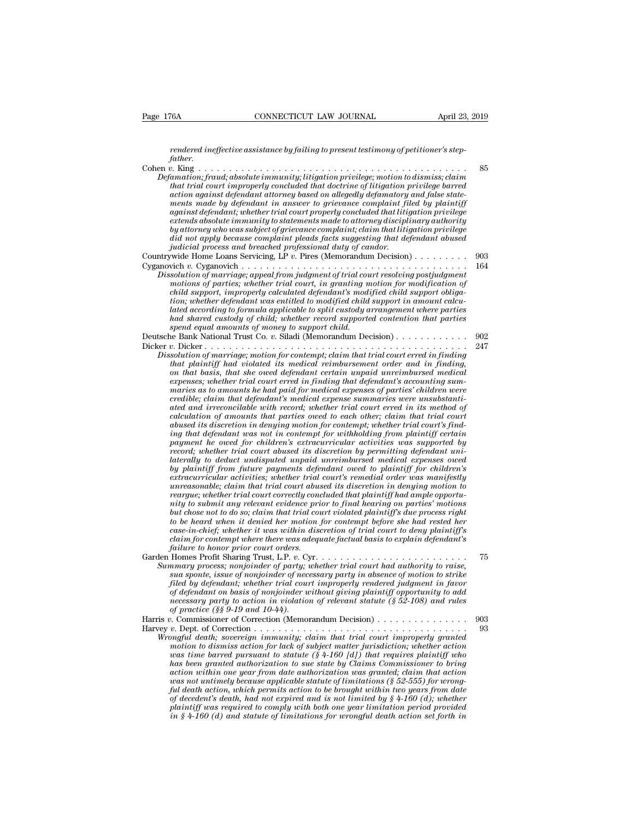*rendered ineffective assistance by failing to present testimony of petitioner's stepfather.*<br>Cohen v. King...

Cohen *v.* King . . . . . . . . . . . . . . . . . . . . . . . . . . . . . . . . . . . . . . . . . . . . <sup>85</sup> *P. 176A*<br> *Defamation; fraud; absolute immunity; litigation privilege; motion to dismiss; claim*<br> *Defamation; fraud; absolute immunity; litigation privilege; motion to dismiss; claim*<br> *Defamation; fraud; absolute immuni that trial court improperly concluded that doctrine of litigation privilege barred action against defendant attorney based on allegedly defamatory and false statemendered ineffective assistance by failing to present testimony of petitioner's step-father.*<br>  $p$ . King  $\ldots$ ,  $\ldots$ ,  $\ldots$ ,  $\ldots$ ,  $\ldots$ ,  $\ldots$ ,  $\ldots$ ,  $\ldots$ ,  $\ldots$ ,  $\ldots$ ,  $\ldots$ ,  $\ldots$ ,  $\ldots$ ,  $\ldots$ ,  $\ldots$ ,  $\ldots$ ,  $\ldots$ *renaerea meyective assistance by jauing to present testimony of petitioner's step-<br>father.*<br>*b*. King<br>*amation; fraud; absolute immunity; litigation privilege; motion to dismiss; claim<br>that trial court improperly conclude* pather.<br> *extends absolute immunity, litigation privilege; motion to dismiss; claim*<br> *absolute immunity, litigation privilege; motion to dismiss; claim*<br> *abut trial court improperly concluded that doctrine of litigation by attorney who was subject of grievance complaint; claim that litigation privilege did in trial court improperly concluded that doctrine of litigation privilege barred*<br>that trial court improperly concluded that doctrine of litigation privilege barred<br>action against defendant in answer to grievance comp *that trual court improperty concluded that doctrine of litigation paction against defendant attorney based on allegedly defamatory ments made by defendant in answer to grievance complaint file extends absolute immunity to* action against agenaant attorney based on allegealy againatory and jase state-<br>ments made by defendant in answer to grievance complaint filed by plaintif<br>against defendant; whether trial court properly concluded that litig ments made by degraduate in grass and court properly concluded that litigation privilige<br>against defendant, whether trial court properly concluded that litigation privilege<br>extends absolute immunity to statements made to a *Dissolution of marriage; appeal from interesolution provided marrial trial court property concurrely disciplinary authority by attorney usho was subject of grievance complaint; claim that litigation privilege did not appl motions of parties; whereas any parties; whereas made to alloming atscriptinary authoring*<br>*m* and *anotay who was subject of grievance complaint; claim that litigation privilege*<br>*indicial process and breached profession child not apply because complicant* pleads facts suggesting that defendant abused id not apply because complaint pleads facts suggesting that defendant abused judicial process and breached professional duty of candor.<br>Wi *tializial process and breached professional duty of candor.*<br> *judicial process and breached professional duty of candor.*<br>
wide Home Loans Servicing, LP  $v$ . Pires (Memorandum Decision) . . . . . . . . . . . . . . . . . *lated according to formula applicable to split custody arrangement where parties had shared custody of child; whether record supported custom of marriage solution of marriage; appeal from judgment of trial court resolving postjudgment motions of parties; whether trial court, in granting motion for mo* Dissolution of marriage; appeal from judgment of trial court resolving postjudgment<br>motions of parties; whether trial court, in granting motion for modification of<br>child support, improperly calculated defendant's modified Dessoution of marriage; appeal from juagment of trial court resolving postfuagment<br>motions of parties; whether trial court, in granting motion for modification of<br>child support, improperly calculated defendant's modified c motions by particular and the direct ratio can be child support, in principal calculated defendant's modified child support in amount calculated according to formula applicable to split custody arrangement where parties ha *Dissolution of marriage; motion for contemption and support marry the trial support in anothical to modified coording to formula applicable to split custody arrangement where parties* and shared custody of child; whet *that according to formula applicable to modified child support in amount cactulated according to formula applicable to split custody arrangement where parties had shared custody of child; whether record supported contenti one according to formula appicable to split castody arrangement where parties* had shared custody of child; whether record supported contention that parties spend equal amounts of morey to support child.<br>
a Bank National *expend equal amounts of money to support child.*<br> *expend equal amounts of money to support child.*<br> *expend equal amounts of money to support child.*<br> *expending that National Trust Co. v. Siladi (Memorandum Decision)*<br> *maries as to amounts of money to support child.*<br> *marriage, money to support child.*<br> *marriage, motion for contempt; claim that trial court erred in finding*<br> *marriage, motion for contempt; claim that trial court erred composition of marriage; motion for contempti, claim that trial court erred in finding solution of marriage; motion for contempt; claim that trial court erred in finding that plaintiff had violated its medical reimburseme* <sup>247</sup><br> *atution of marriage; motion for contempt; claim that trial court erred in finding<br>
that plaintiff had violated its medical reimbursement order and in finding,<br>
on that basis, that she oved defendant certain unpaid calculation of marriage; motion for contempt; claim that trial court erred in finding*<br>*calculatiff had violated its medical reimbursement order and in finding*<br>*capenses; whether trial court erred in finding that defenda that planntyf had voolated its medical reimbursement order and in finding,*<br>on that basis, that she owed defendant certain unpaid unreimbursed medical<br>expenses; whether trial court erred in finding that defendant's accoun on that basis, that she owed defendant certain unpaid unreimbursed medical expenses; whether trial court erred in finding that defendant's accounting summaries as to amounts he had paid for medical expenses of parties' chi expenses; whether trial court erred in finding that defendant's accounting summaries as to amounts he had paid for medical expenses of parties' children were credible; claim that defendant's medical expense summaries were maries as to amounts he had paid for medical expenses of parties' children were<br>credible; claim that defendant's medical expense summaries were unsubstantia-<br>ated and irrecordiable with record; whether trial court erred in *creatible; claim that defendant's medical expense summaries were unsubstantiated and irreconcilable with record; whether trial court erred in its method of calculation of amounts that parties owed to each other; claim tha* ated and irreconcidable with record; whether trial court erred in its method of calculation of amounts that parties owed to each other; claim that trial court abused its discretion in densing motion for contempt; whether t calculation of amounts that parties owed to each other; claim that trial court's find-<br>ing that defendant was not in contempt for withholding from plaintiff certain<br>payment he owed for children's extracurricular activities abused its discretion in denying motion for contempt; whether trial court's finding from plaintiff certain payment he owed for children's extracurricular activities was supported by pecard; whether trial court abused its d *reargue; whether trial court and there is extracterized are are trial court and payment he owed for children's extracurricular activities was supported by record; whether trial court abused its discretion by permitting de* payment ne owed *jor chularen's extracurricular activities* was supported by<br>record; whether trial court abused its discretion by permitting defendant uni-<br>laterally to deduct undisputed unpaid unreinbursed medical expense *but chose if* the there is that the downtown and the discretion by permitting defendant university of pointiff from future payments defendant owed to plaintiff from chiral extracurricular activities; whether trial court's *taterally to deduct undisputed unpaid unreimbursed medical expenses owed*<br>by plaintiff from future payments defendant owed to plaintiff for children's<br>extracurricular activities; whether trial court's remedial order was m *by planntyf from future payments defendant owed to planntyf for chudren's*<br>extracurricular activities; whether trial court's remedial order was manifestly<br>urreasonable; claim that trial court abused its discretion in deny *catracurricular activities; whether trial court's remedial order was manifestly* unreasonable; claim that trial court abused its discretion in denying motion to reargue; whether trial court correctly concluded that plaint *failure to honor to the trial court abus reargue; whether trial court correctly conditionary to submit any relevant evidence prior but chose not to do so; claim that trial court of the heard when it denied her motion jase* rearythe; whether trud court correctly concluded that platintly had ample opportunity to submit any relevant evidence prior to final hearing on parties' motions<br>but chose not to do so; claim that trial court violated plain *Mighton and the choose not to delay denote the bose not to be heard when it denote the trial court violated plantiff's due process right to be heard when it denied her motion for contempt before she had rested her case-in but chose not to ao so; claim that trial court violated planntyfs are process right* to be heard when it denied her motion for contempt before she had rested her case-in-chief; whether it was within discretion of trial co *fo be neara when it denied ner motion for contempt before she had rested ner*<br> *case-in-chief; whether it was within discretion of trial court to deny plaintiff's*<br> *failure to honor prior court orders.*<br> *failure to hono case-in-chief; whether it was within aiscretion of trial court to aeny plaintiff sclaim for contempt where there was adequate factual basis to explain defendant's failure to honor prior court orders.*<br>
Homes Profit Sharin *claim for contempt where there was adequate factuat basis to explain defendant s*<br> *failure to honor prior court orders.*<br> *nemes Profit Sharing Trust, L.P. v. Cyr.*<br> *nemes Profit Sharing Trust, whether trial court had a rature to nonor prior court orders.*<br>
Homes Profit Sharing Trust, L.P. v. C.<sub>y</sub><br> *ormary process; nonjoinder of party;*<br> *sua sponte, issue of nonjoinder of nec<br>
filed by defendant; whether trial court<br>
of defendant on ba* Harris *<sup>v</sup>*. Commissioner of Correction (Memorandum Decision) . . . . . . . . . . . . . . . <sup>903</sup> *Summary process; nonjoinater of party; whener trial court had dumority to ratse,*<br>sua sponts issue of nonjoinder of necessary party in absence of motion to strike<br>filed by defendant; whether trial court improperly rendere *Sud spine, issue of nonjoinaer of necessary party in absence of motion to strike*<br>*filed by defendant, whether trial court improperly renderd judgment in favor*<br>*of defendant on basis of nonjoinder without giving plaintif math of dismission for dismission for matter in the matter in the meeting plaintiff opportunity to add* of *eferdant on basis of nonjoinder without giving plaintiff opportunity to add necessary party to action in violat was time barred authorization in violation of relevant statute (§ 52-108) and rules*<br>*wecessary party to action in violation of relevant statute (§ 52-108) and rules*<br>*w. Dept. of Correction ............................. has been granted authorization to sue state by Claims Commissioner to bring action with the correction within minimially commission with the correction commission of Correction was time death; sovereign immunity; claim that trial court improperly granted motion to dismiss action for lack of subj was not untimely because applicable statute of limitations (§ 52-555) for wrongful death, sovereign minimizing, claim that trial court improperly granted*<br>motion to dismiss action for lack of subject matter jurisdiction, whether action<br>motion to dismiss action was time barred pursuant to statute (§ *of decementally, sovereign immunity; claim that trial court improperty granted* motion to dismiss action for lack of subject matter jurisdiction; whether action was time barel pursuant to statute (§ 4-160 (d]) that requi *motion to dismiss action for lack of subject matter jurisdiction; whether action* was time barred pursuant to statute (§ 4-160 [d]) that requires plaintiff who has been granted authorization to sue state by Claims Commis *in in the barred pursuant to statute (§ 4-160 |d]) that requires plaintiff who* has been granted authorization to sue state by Claims Commissioner to bring action within one year from date authorization was granted; clai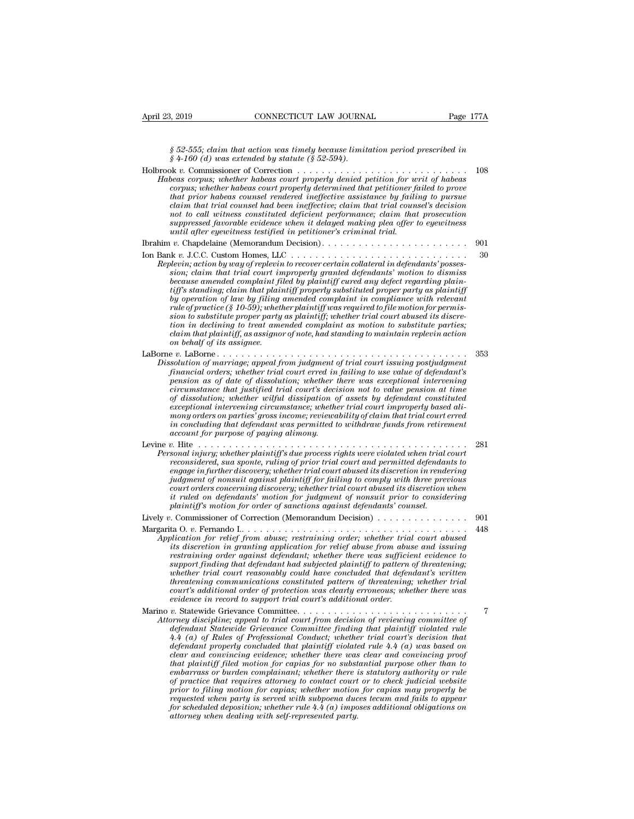*§ 52-555; claim that action was timely because limitation period prescribed in g* 4.160 (*d)* was extended by statute (§ 52-555; claim that action was timely because limits (§ 4-160 (*d*) was extended by statute (§ 52-594).

| April 23, 2019             | CONNECTICUT LAW JOURNAL                                                                                                                                                                                                                                                                                                                                                                                                                                                                                                                                                                                                                                                                                                                                                                                                                                                                                                                                                                                                                | Page 177A |
|----------------------------|----------------------------------------------------------------------------------------------------------------------------------------------------------------------------------------------------------------------------------------------------------------------------------------------------------------------------------------------------------------------------------------------------------------------------------------------------------------------------------------------------------------------------------------------------------------------------------------------------------------------------------------------------------------------------------------------------------------------------------------------------------------------------------------------------------------------------------------------------------------------------------------------------------------------------------------------------------------------------------------------------------------------------------------|-----------|
|                            | $\S 52-555$ ; claim that action was timely because limitation period prescribed in<br>$§$ 4-160 (d) was extended by statute (§ 52-594).                                                                                                                                                                                                                                                                                                                                                                                                                                                                                                                                                                                                                                                                                                                                                                                                                                                                                                |           |
|                            | Holbrook v. Commissioner of Correction $\ldots$ , $\ldots$ , $\ldots$ , $\ldots$ , $\ldots$ , $\ldots$ , $\ldots$ , $\ldots$<br>Habeas corpus; whether habeas court properly denied petition for writ of habeas<br>corpus; whether habeas court properly determined that petitioner failed to prove<br>that prior habeas counsel rendered ineffective assistance by failing to pursue<br>claim that trial counsel had been ineffective; claim that trial counsel's decision<br>not to call witness constituted deficient performance; claim that prosecution<br>suppressed favorable evidence when it delayed making plea offer to eyewitness<br>until after eyewitness testified in petitioner's criminal trial.                                                                                                                                                                                                                                                                                                                      | 108       |
|                            |                                                                                                                                                                                                                                                                                                                                                                                                                                                                                                                                                                                                                                                                                                                                                                                                                                                                                                                                                                                                                                        | 901       |
| on behalf of its assignee. | Replevin; action by way of replevin to recover certain collateral in defendants' posses-<br>sion; claim that trial court improperly granted defendants' motion to dismiss<br>because amended complaint filed by plaintiff cured any defect regarding plain-<br>tiff's standing; claim that plaintiff properly substituted proper party as plaintiff<br>by operation of law by filing amended complaint in compliance with relevant<br>rule of practice (§ 10-59); whether plaintiff was required to file motion for permis-<br>sion to substitute proper party as plaintiff; whether trial court abused its discre-<br>tion in declining to treat amended complaint as motion to substitute parties;<br>claim that plaintiff, as assignor of note, had standing to maintain replevin action                                                                                                                                                                                                                                            | 30        |
|                            | Dissolution of marriage; appeal from judgment of trial court issuing postjudgment<br>financial orders; whether trial court erred in failing to use value of defendant's<br>pension as of date of dissolution; whether there was exceptional intervening<br>circumstance that justified trial court's decision not to value pension at time<br>of dissolution; whether wilful dissipation of assets by defendant constituted<br>exceptional intervening circumstance; whether trial court improperly based ali-<br>mony orders on parties' gross income; reviewability of claim that trial court erred<br>in concluding that defendant was permitted to withdraw funds from retirement<br><i>account for purpose of paying alimony.</i>                                                                                                                                                                                                                                                                                                 | 353       |
|                            | Personal injury; whether plaintiff's due process rights were violated when trial court<br>reconsidered, sua sponte, ruling of prior trial court and permitted defendants to<br>engage in further discovery; whether trial court abused its discretion in rendering<br>judgment of nonsuit against plaintiff for failing to comply with three previous<br>court orders concerning discovery; whether trial court abused its discretion when<br>it ruled on defendants' motion for judgment of nonsuit prior to considering<br>plaintiff's motion for order of sanctions against defendants' counsel.                                                                                                                                                                                                                                                                                                                                                                                                                                    | 281       |
|                            | Lively v. Commissioner of Correction (Memorandum Decision) $\dots \dots \dots \dots \dots$                                                                                                                                                                                                                                                                                                                                                                                                                                                                                                                                                                                                                                                                                                                                                                                                                                                                                                                                             | 901       |
|                            | Application for relief from abuse; restraining order; whether trial court abused<br>its discretion in granting application for relief abuse from abuse and issuing<br>restraining order against defendant; whether there was sufficient evidence to<br>support finding that defendant had subjected plaintiff to pattern of threatening;<br>whether trial court reasonably could have concluded that defendant's written<br>threatening communications constituted pattern of threatening; whether trial<br>court's additional order of protection was clearly erroneous; whether there was<br>evidence in record to support trial court's additional order.                                                                                                                                                                                                                                                                                                                                                                           | 448       |
|                            | Marino v. Statewide Grievance Committee<br>Attorney discipline; appeal to trial court from decision of reviewing committee of<br>defendant Statewide Grievance Committee finding that plaintiff violated rule<br>4.4 (a) of Rules of Professional Conduct; whether trial court's decision that<br>defendant properly concluded that plaintiff violated rule $4.4$ (a) was based on<br>clear and convincing evidence; whether there was clear and convincing proof<br>that plaintiff filed motion for capias for no substantial purpose other than to<br>embarrass or burden complainant; whether there is statutory authority or rule<br>of practice that requires attorney to contact court or to check judicial website<br>prior to filing motion for capias; whether motion for capias may properly be<br>requested when party is served with subpoena duces tecum and fails to appear<br>for scheduled deposition; whether rule $4.4\,(a)$ imposes additional obligations on<br>attorney when dealing with self-represented party. | 7         |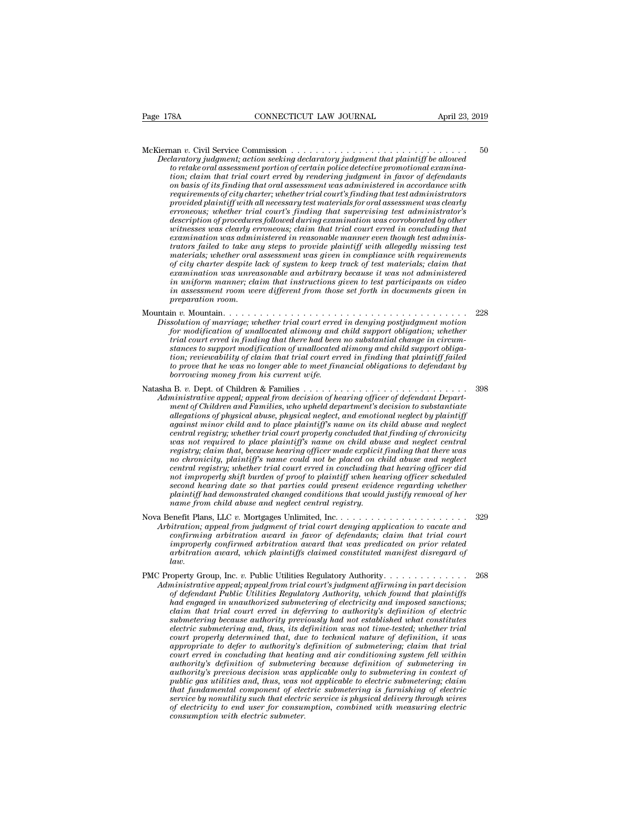McKiernan *<sup>v</sup>*. Civil Service Commission . . . . . . . . . . . . . . . . . . . . . . . . . . . . . <sup>50</sup> *P.* 178A **CONNECTICUT LAW JOURNAL** April 23, 2019<br> *Declaratory judgment; action seeking declaratory judgment that plaintiff be allowed*<br> *to retake oral assessment portion of certain police detective promotional examinat* **EXECUTE AND SOURNAL April 23**<br> **to retake oral assessment portion of certain police detective promotional examina-**<br> *to retake oral assessment portion of certain police detective promotional examina-*<br> *tion*; claim that *tion; commission*<br> **tion; claim that trial commission**<br> **tion; claim that trial court exercing declaratory judgment that plaintiff be allowed**<br> *to retake oral assessment portion of certain police detective promotional ex* **pasis of its finally determined in that oral and that oral and that oral and according that oral deterministic for that oral assessment portion of certain police detective promotional examination; claim that trial court e** <sup>2</sup> requirements of commission<br>*relatatory judgment; action seeking declaratory judgment that plaintiff be allowed*<br>to retake oral assessment portion of certain police detective promotional examina-<br>tion; claim that trial **provided planning and all service Commission**<br>*paratory judgment; action seeking declaratory judgment that plaintiff be allowed*<br>*to retake oral assessment portion of certain police detective promotional examina-<br>tion; cl erroneous; whether trial court's finding that supervising test administrator's daratory juagment; action seeking declaratory juagment that plaintiff be allowed*<br>to retake oral assessment portion of certain police detective promotional examina-<br>tion; claim that trial court erred by rendering judgment *to retake oral assessment portion of certain police detective promotional examination; claim that trial court erred by rendering judgment in favor of defendants on basis of its finding that oral assessment was administere tion; claim that trial court erred by rendering judgment in javor of defendants*<br>on basis of its finding that oral assessment was administered in accordance with<br>requirements of city charter; whether trial court's finding on basis of its finding that oral assessment was administered in accordance with<br>requirements of city charter; whether trial court's finding that test administrators<br>provided plaintiff with all necessary test materials for *materials of city charter; whether trual court's funding that test administrators* provided plaintiff with all necessary test materials for oral assessment was clearly erroneous; whether trial court's finding that supervi *erroneous; whether trial court's finding that supervising test administrator's* description of procedures followed during examination was corroborated by other witnesses was clearly erroneous; claim that trial court erred *erroneous; whether trual court's finding that supervising test administrator's*<br>*description of procedures followed during examination was corroborated by other*<br>*examination was clearly erroneous; claim that trial court description of procedures followed during examination was corroborated by other* witnesses was clearly erroneous; claim that trial court erred in concluding that<br>examination was administered in reasonable manner even thou *in and the set in a concluding that in and tradit court erred in concluding that* examination was administered in reasonable manner even though test administrators failed to take any steps to provide plaintiff with alle *examination was admin*<br>trators failed to take am<br>materials; whether oral<br>of city charter despite le<br>examination was unrea<br>in uniform manner; cla<br>preparation room.<br>preparation room.<br>in v. Mountain....... materials; whether oral assessment was given in compliance with requirements<br>of city charter despite lack of system to keep track of test materials; claim that<br>examination was unreasonable and arbitrary because it was not *Of city charter despite lack of system to keep track of test materials; claim that*<br>examination was unreasonable and arbitrary because it was not administered<br>in uniform manner; claim that instructions given to test part *for modification was unreasonable and arbitrary because it was not administered*<br>in uniform manner; claim that instructions given to test participants on video<br>in assessment room were different from those set forth in doc

- *trial court erred in finding that there had been no substantial change in circumfor modification of unallocated alimony and child support obligation; whether trial court erred in finding that there had been no substantial change in circumstances to support modification of unallocated alimony and chil tion; reviewability of claim that trial court erred in finding that plaintiff failed to prove that he was no longer able to meet financial obligations to defendant by* for modification of unallocated alimony and child support obligation; whether<br>trial court erred in finding that there had been no substantial change in circum-<br>stances to support modification of unallocated alimony and chi *Administrative appeal; appeal from decision of hearing defeation of defendant change in circum-<br>
atances to support modification of unallocated alimony and child support obligation; reviewability of claim that trial court*
- *borrowing money from his current wife. mention; reviewability of claim that trial court erred in finding that plaintiff failed*<br>to prove that he was no longer able to meet financial obligations to defendant by<br>borrowing money from his current wife.<br>a B. v. D *allegations reviewability of claim that trial court erred in finding that plaintiff failed*<br>to prove that he was no longer able to meet financial obligations to defendant by<br>borrowing money from his current wife.<br> $\alpha$   $\$ *against minor child and to meet financial obligations to defendant by<br>
borrowing money from his current wife.*<br> **against ministrative appeal**; appeal from decision of hearing officer of defendant Department of Children an *central registry; whether the courtent wife.*<br> **central registry:** The commistrative appeal, appeal from decision of hearing officer of defendant Department of Children and Families, who upheld department's decision to su *was not required to place plaintiff's name could not be placed to children and Families*  $\mu$  *was ninistrative appeal, appeal from decision of hearing officer of defendant Department of Children and Families, who upheld registry; claim that, because hearing officer of defendant Departion in inistrative appeal, appeal from decision of hearing officer of defendant Departion ment of Children and Families, who upheld department's decision to nonstrative appeal, appeal from decision of hearing officer of defendant Department of Children and Families, who upheld department's decision to substantiate allegations of physical abuse, physical neglect and emotional* ment of Chuldren and Famulies, who upheld department's decision to substantiate allegations of physical abuse, physical neglect, and emotional neglect by plaintiff court erred in a to place plaintiff's name on its child ab allegations of physical abuse, physical neglect, and emotional neglect by plaintiff<br>against minor child and to place plaintiff's name on its child abuse and neglect<br>central registry; whether trial court properly coroluded agannst minor child and to place plaintiff's name on its child abuse and neglect<br>central registry; whether trial court properly concluded that finding of chronicity<br>was not required to place plaintiff's name on child abuse *plaintiff termstrated to place plaintiff's name on child abuse and neglect central* vas not required to place plaintiff's name on child abuse and neglect central registry; claim that, because hearing officer made explicit *realistry, claim that, because hearing officer made explicit registry; claim that, because hearing officer made explicit mo chronicity, plaintiff's name could not be placed on chronicity, whether trial court erred in conc* no chronicity, plaintiff's name could not be placed on child abuse and neglect<br>central registry; whether trial court erred in concluding that hearing officer did<br>not improperly shift burden of proof to plaintiff when heari *Central registry; whether trial court erred in concluding that hearing officer did*<br> *Arbitrationg discussing that parties could present evidence regarding whether*<br> *Plaintiff had demonstrated changed conditions that wou*
- *confirming arbitration award arbitration award in that trial constituted arbitration and the defendant of her*<br>plaintiff had demonstrated changed conditions that would justify removal of her<br>name from child abuse and negl *is* second hearing date so that parties could present evidence regarding whether<br>plaintiff had demonstrated changed conditions that would justify removal of her<br>name from child abuse and neglect central registry.<br><br>enefit *arbitration award, which plaintiffs claimed constituted manifest disregard of law.* PMC Property Group, Inc. *v.* Public Utilities Regulatory Authority. . . . . . . . . . . . . . <sup>268</sup> *Arbitration; appeal from judgment of trial court denying application to vacate and*<br>
confirming arbitration award in favor of defendants; claim that trial court<br>
improperly confirmed arbitration award that was predicated
	- confirming arbitration award in favor of defendants; claim that trial court<br>improperly confirmed arbitration award that was predicated on prior related<br>arbitration award, which plaintiffs claimed constituted manifest disre *had engaged in unauthorized arbitration award that was predicated on prior related arbitration award, which plaintiffs claimed constituted manifest disregard of law.*<br>  $\begin{array}{lll} \text{operator Goup, Inc. } v. \text{ Public Utilities Regularly Authority.} \dots & \dots & \dots & \dots & \dots & \dots & \dots &$ *claim that trial court erred in deferring to authority's definition of electric submethering because authority* previously authority and the ministrative appeal; appeal from trial court's judgment affirming in part decision of defendant Public Utilities Regulatory Authority, which found that plaintif *electric submetering and, thus, its definition of algentary Authority electricity enimistrative appeal; appeal from trial court's judgment affirming in part decision* of *defendant Public Utilities Regulatory Authorit court properly determined that, due to technical nature of definition, it was appropriative appeal, appeal from trad court's judgment affirming in part decision* of defendant Public Utilities Regulatory Authority, which found that plaintiffs had engaged in unauthorized submetering of electric subme *court erred in unauthorized submetering of electricity and imposed sanctions;*<br> *colaim that trial court erred in deferring to authority's definition of electric<br>
	submetering because authority previously had not establish al engaged in unauthorized submetering of electricity and imposed sanctions;*<br>claim that trial court erred in deferring to authority's definition of electric<br>submetering because authority previously had not established wh *claim that trial court erred in deferring to authority's definition of electric*<br>submetering because authority previously had not established what constitutes<br>electric submetering and, thus, its definition was not time-te *public gas utilitionally previously had not established what constitutes*<br> *publicative submetering and, thus, its definition was not time-tested; whether trial*<br> *appropriate to defer to authority's definition of submete Electric submetering and, thus, its definition was not time-tested; whether trial court properly determined that, due to technical nature of definition, it was appropriate to defer to authority's definition of submetering court property determined that, due to technical nature of definition, it was* appropriate to defer to authority's definition of submetering; claim that trial court erred in concluding that heating and air conditioning sy *court erred in concluding that heating and air conditioning system fell within authority's definition of submetering because definition of submetering in authority's previous decision was applicable only to submetering in consumption with electric submeter.*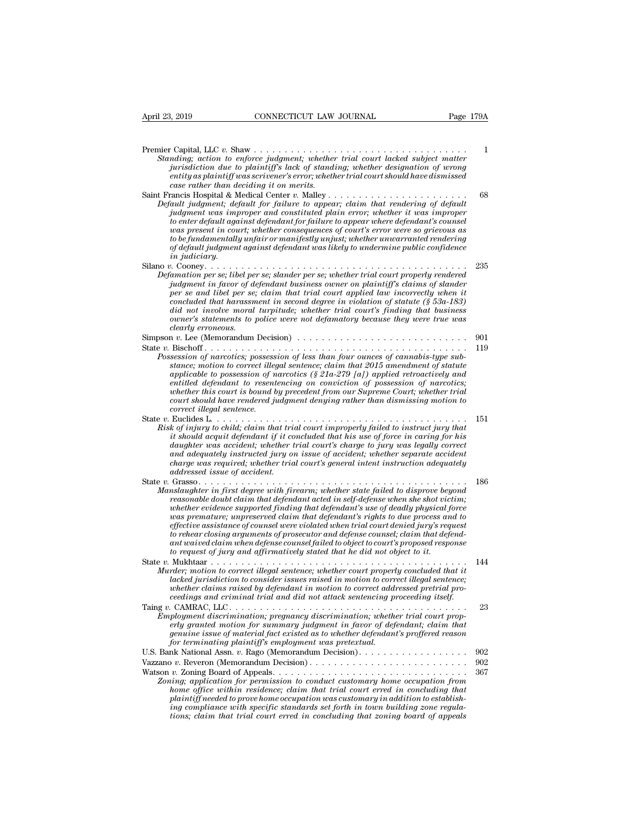Premier Capital, LLC *v.* Shaw . . . . . . . . . . . . . . . . . . . . . . . . . . . . . . . . . . . <sup>1</sup> *Standing; action to enforce judgment; whether trial court lacked subject matter*<br>*Standing; action to enforce judgment; whether trial court lacked subject matter*<br>*jurisdiction due to plaintiff's lack of standing; whether jurisdiction due to plaintiff's lack of standing; whether designation of wrong entity as a connertial Microsofter CONNECTICUT LAW JOURNAL*<br> **entity as a constant of the constant of the court of the court of the court is a constant of wrong**<br> *enting; action to enforce judgment; whether trial court l case rather all all to v. Shaw*<br>*case rather in the enforce judgment; whether jurisdiction due to plaintiff's lack of standing it on merits.*<br>*case rather than deciding it on merits.*<br>*cancis Hospital & Medical Center v.* Saint Francis Hospital & Medical Center *v.* Malley . . . . . . . . . . . . . . . . . . . . . . . <sup>68</sup> *Default judgment; default for failure to appear*<br>*Defaulting; action to enforce judgment; whether trial court lacked subject matter<br><i>jurisdiction due to plaintiff's lack of standing; whether designation of wrong<br>entity as jumal, LLC v. Shaw*<br> *jurisdiction to enforce judgment; whether trial court lacked subject matter*<br> *dimisdiction due to plaintiff's lack of standing; whether designation of wrong*<br> *entity* as plaintiff was scrivener's *to ending* and the to play of the meaning when the court in the definition due to plaintiff's lack of standing; whether designation of wrong entity as plaintiff was scrivener's error; whether trial court should have dismi *was painting the court of such an interest in court should have dismissed*<br>entity as plaintiff was scrivener's error; whether trial court should have dismissed<br>case rather than deciding it on merits.<br>ancis Hospital & Medi *to be fundamentally unfair or manifestly unjust; whether unwarranted rendering of default judgment against defendant was likely to undermine public confidence* Francis Hospital & Manutican and *indegree to enter degition to as imported to enter default agains the fundamentally of default judgment in judiciary.<br>
<i>i* conter default in comparison to be fundamentally of default judgm Defiall judgment, alguall for fature to appear; carm inti rentering of against judgment was improper and constituted plain error; whether it was improper to enter default against defendant for failure to appear where defen *Defamation per se; differed and terms* and constituted part error; whether a was improper<br>to enter default against defendant for failure to appear where defendant's coursel<br>was present in court; whether consequences of co *judgment in court; whether consequences of court's error were defendant s counset*<br>was present in court; whether consequences of court's error were so grievous as<br>to be fundamentally unfair or manifestly unjust; whether u *per seem in court; whener consequences of court s error were so grievous as*<br> *pof defundmentally unfair or manifestly unjust; whether unwarranted rendering*<br> *pof default judgment against defendant was likely to undermin concelult jumpare that harassment and the procedult in that harassment in judiciary*<br> *concelult judgment against defendant was likely to undermine public confidence*<br> *in judiciary*<br> *concelult per second degree in viola did not involve moral turpitude; whereas the indictary.*<br> *did not involved and turping in analytic moral turping turpinum and turping in analytic more se; libel per se; slander per se; whether trial court property render owner's statements in statements in policies*<br> *owner's statement in favor of defendant business owner on plaintiff's claims of slander*<br> *ownerion per se; libel per se; claim that trial court applied law incorrectly when clearly exercise in the person in the person person person person per se, idel per se, concluded that harassmid not involve moral owner's statements to performance in the U. Let*  $\alpha$  *is the Chenger and in the U. Let (Memo* Definition per se, we per se, standar basis of the control country property rendered in front property relation of standar per se and libel per se, claim that trial court applied law incorrectly when it concluded that hara For the particular contract is contract the particular contract of the particular process of the particular concluded that have moral turpitude; whether trial court applied law incorrectly when it concluded that havassment *Possession of statute (§ 53a-183)*<br> *Possession of statute (§ 53a-183)*<br> *Possession of narcotics; possession of less than four ounces of cannabis-type sub-*<br> *Possession of less than four ounces of cannabis-type sub-*<br> *stance; motion to correct illegal sentence; claim that 2015 amendment of statute applicable to possession of narcotics (§ 21a-279 [a]) applied retroactively and entitled structures in the following declaring to relative the dearly erroneous.*<br>  $\alpha$  *r.* Lee (Memorandum Decision)<br>  $\alpha$ . Lee (Memorandum Decision of less than four ounces of cannabis-type substance; motion to correct *whether this court is bound by precedent from our Supreme Court; whether trial court should have rendered judgment denying rather than dismissing of carrotics; possession of less than four ounces of cannabis-type subsession of narcotics; possession of less than four ounces of cannabis-type substance correction of narcotics; possession of narcotics; possession of narcotics; possession of nentilled defendant to resent whether this court is bound bount should have rendered jurified as Lection of the correct illegal sent* rossession by narcoucs; possession by tess until purit our outres by cannuous-uppe sub-<br>stance; motion to correct illegal sentence; claim that 2015 anendment of statute<br>applicable to possession of narcotics (§ 21a-279 [a]) *Risk of injury to child; claim that trial court's chaim that zona complicable to possession of narcotics (S21a-279 [a]) applied retroactively and entitled defendant to resentencing on conviction of possession of narcotics implication is in the sentencing on conviction of possession of narrowice* ( $\overline{s}$  214-279 [a]) applied retroactively and<br>entitled defendant to resentencing on conviction of possession of narrotics;<br>whether this court is *distributed in this court is bound by precedent from our Supreme Court; whether trial whether this court should have rendered judgment denying rather than dismissing motion to correct illegal sentence.*<br> *Euclides L...... and a term is court is bound by precedent from our supreme Court; whether trial court should have rendered judgment denying rather than dismissing motion to courted illegal sentence.*<br>  $\emph{Euclidean}$   $\emph{Euclidean}$   $\emph{Euclidean}$   $\emph{tr$ *court should have rendered judgment denying rather than dismissing motion to*<br> *correct illegal sentence.*<br> *k* of injury to child; claim that trial court improperly failed to instruct jury that<br>
it should acquit defendan *addressed issue of accident.* State *v.* Grasso. . . . . . . . . . . . . . . . . . . . . . . . . . . . . . . . . . . . . . . . . . . . <sup>186</sup> *Manslaughter in first degreed with firearm; whether state of force in carring for his daughter was accident; whether trial court's charge to forcy in carring for his daughter was accident; whether trial court's charge to reasonable doubt claim that defendant acted in self-defense was accident; whether vice danglare was ccident; whether trial court's charge to jary was legally correct cand adequately instructed jury on issue of accident; w whether was accusent; whether trial courts charge to jury was legaly correct* and adequately instructed jury on issue of accident; whether separate accident charge was required; whether trial court's general intent instru *was requirely instructed jury on ussue of accuent; whener separate accuent<br>charge was required; whether trial court's general intent instruction adequately<br>addressed issue of accident.*<br>Grasso . . . . . . . . . . . . . . *effective assistance of counsel were violated when trial court denied jury's request to rehear closing arguments of prosecutor and defense counsel; claim that defendant waived claim when defense counsel failed to object to court's proposed response to reasonable doubt claim that defendant acted in self-defense when she shot victorial regularity and defendant acted in self-defense when she shot victorially proported finding that defendant's rights to due process an e* reasonable dotation carm that defendent diverting the defendant's use of deally physical force was premature; unpreserved claim that defendant's rights to due process and to effective assistance of counsel were violated wh *Murder evalence supported finality that defendant's use of deady physical force*<br> *Mus premature; unpreserved claim that defendant's rights to due process and to*<br> *effective assistance of counsel were violated when trial lacked jurisdiction to consider issues raised in motion to consider the effective assistance of connsel were violated when trial court denied jury's request to rehear closing arguments of prosecutor and defense counsel; c whether closing arguments of prosecutor and defense counsel were the raid correct and to rehear closing arguments of prosecutor and defendant waived claim when defense counsel failed to object to court's proposed response correlate costrig arguments of prosecutor and agense courset, carm mat agendat waived claim when defense coursel failed to biget to court's proposed response to request of jury and affermatively stated that he did not obj* Taing *v.* CAMRAC, LLC . . . . . . . . . . . . . . . . . . . . . . . . . . . . . . . . . . . . . . . <sup>23</sup> *Employment discrimination; pregnancy discrimination; whether trial court property and did not offered imaging and criminal trial and did not attack sentencing proceedings and criminal trial and did not attack sentencing p erder, motion to correct illegal sentence; whether court properly concluded that it dacked jurisdiction to consider issues raised in motion to correct illegal sentence; whether claims raised by defendant in motion to co* raer; motion to correct theyal sentence; unether court property concruded that it<br>lacked jurisdiction to consider issues raised in motion to correct illegal sentence;<br>whether claims raised by defendant in motion to correct *for termination to consider issues raised in motion to corrected digreedings raised by defendant in motion to correct addigreedings and criminal trial and did not attack sentencing precedings and criminal trial and did no* U.S. Bank National Assn. *<sup>v</sup>*. Rago (Memorandum Decision). . . . . . . . . . . . . . . . . . <sup>902</sup> Vazzano *<sup>v</sup>*. Reveron (Memorandum Decision) . . . . . . . . . . . . . . . . . . . . . . . . . . <sup>902</sup> Employment discrimination; pregnancy discrimination; whether trial court property granted motion for summary judgment in favor of defendant; claim that genuine issue of material fact existed as to whether defendant's proff *zoning; application for summary judgment in favor of defendant; claim that*<br> *zonine issue of material fact existed as to whether defendant's proffered reason*<br> *for terminating plaintiff's employment was pretextual.*<br>
Ba *home office within residence; claim that trial court erred in concluding that plaintiff needed to prove home occupation was customary in addition to establishing compliance with specific standards set forth in town building the compliance with specific standards set forth in town building that plaintiff needed to prove home occupation was customary home occupation from home of tions; claim that trial court erred in concluding that zoning board of appeals*